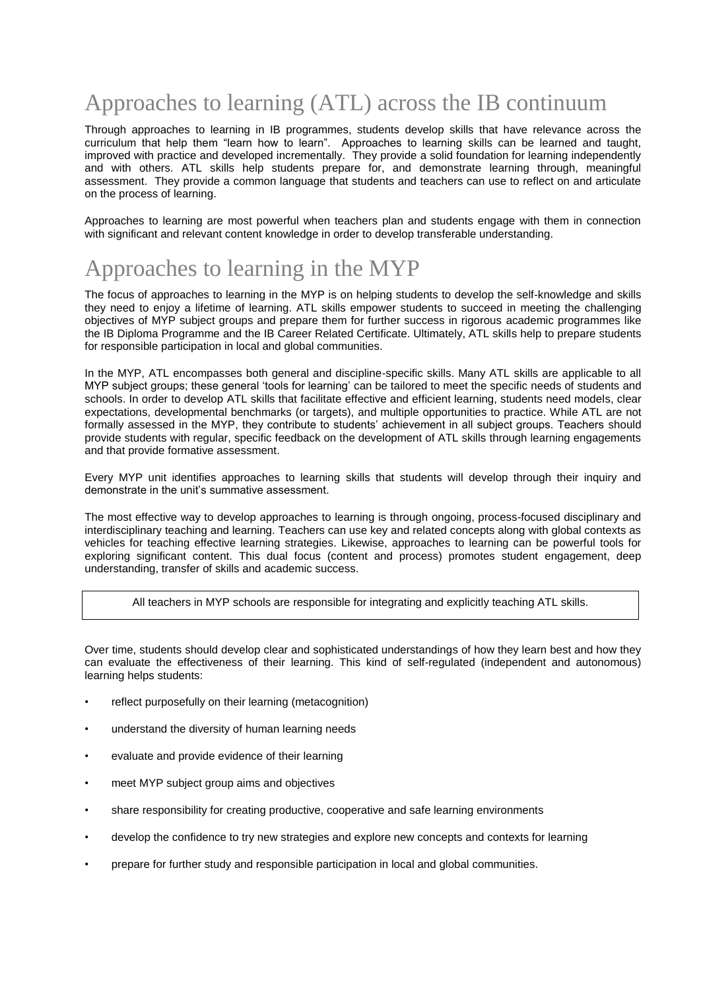# Approaches to learning (ATL) across the IB continuum

Through approaches to learning in IB programmes, students develop skills that have relevance across the curriculum that help them "learn how to learn". Approaches to learning skills can be learned and taught, improved with practice and developed incrementally. They provide a solid foundation for learning independently and with others. ATL skills help students prepare for, and demonstrate learning through, meaningful assessment. They provide a common language that students and teachers can use to reflect on and articulate on the process of learning.

Approaches to learning are most powerful when teachers plan and students engage with them in connection with significant and relevant content knowledge in order to develop transferable understanding.

#### Approaches to learning in the MYP

The focus of approaches to learning in the MYP is on helping students to develop the self-knowledge and skills they need to enjoy a lifetime of learning. ATL skills empower students to succeed in meeting the challenging objectives of MYP subject groups and prepare them for further success in rigorous academic programmes like the IB Diploma Programme and the IB Career Related Certificate. Ultimately, ATL skills help to prepare students for responsible participation in local and global communities.

In the MYP, ATL encompasses both general and discipline-specific skills. Many ATL skills are applicable to all MYP subject groups; these general 'tools for learning' can be tailored to meet the specific needs of students and schools. In order to develop ATL skills that facilitate effective and efficient learning, students need models, clear expectations, developmental benchmarks (or targets), and multiple opportunities to practice. While ATL are not formally assessed in the MYP, they contribute to students' achievement in all subject groups. Teachers should provide students with regular, specific feedback on the development of ATL skills through learning engagements and that provide formative assessment.

Every MYP unit identifies approaches to learning skills that students will develop through their inquiry and demonstrate in the unit's summative assessment.

The most effective way to develop approaches to learning is through ongoing, process-focused disciplinary and interdisciplinary teaching and learning. Teachers can use key and related concepts along with global contexts as vehicles for teaching effective learning strategies. Likewise, approaches to learning can be powerful tools for exploring significant content. This dual focus (content and process) promotes student engagement, deep understanding, transfer of skills and academic success.

All teachers in MYP schools are responsible for integrating and explicitly teaching ATL skills.

Over time, students should develop clear and sophisticated understandings of how they learn best and how they can evaluate the effectiveness of their learning. This kind of self-regulated (independent and autonomous) learning helps students:

- reflect purposefully on their learning (metacognition)
- understand the diversity of human learning needs
- evaluate and provide evidence of their learning
- meet MYP subject group aims and objectives
- share responsibility for creating productive, cooperative and safe learning environments
- develop the confidence to try new strategies and explore new concepts and contexts for learning
- prepare for further study and responsible participation in local and global communities.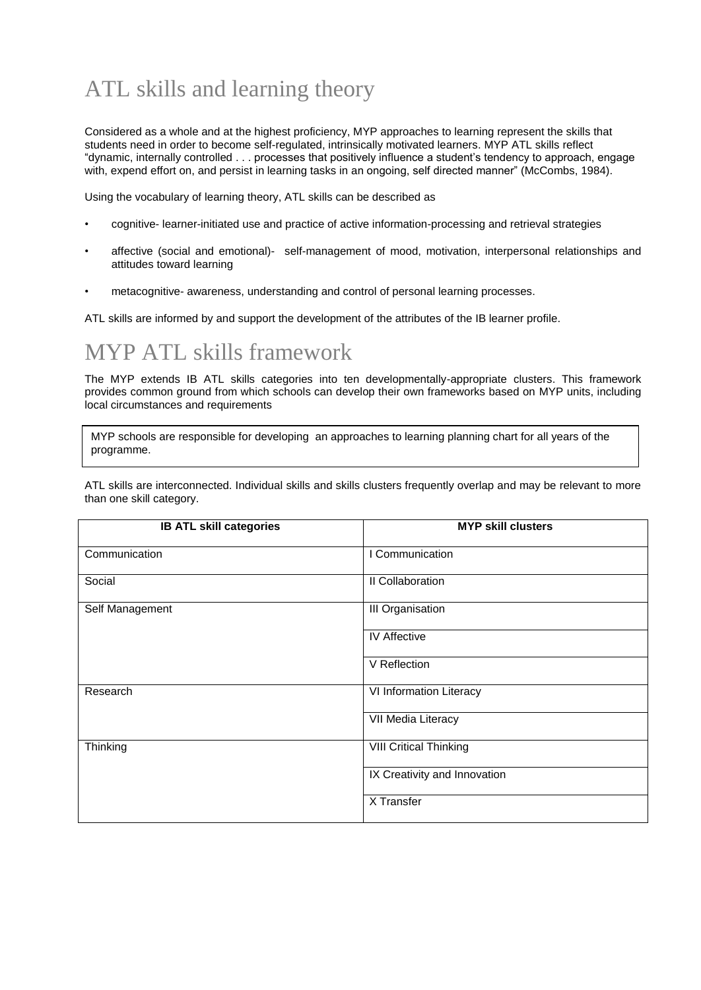# ATL skills and learning theory

Considered as a whole and at the highest proficiency, MYP approaches to learning represent the skills that students need in order to become self-regulated, intrinsically motivated learners. MYP ATL skills reflect "dynamic, internally controlled . . . processes that positively influence a student's tendency to approach, engage with, expend effort on, and persist in learning tasks in an ongoing, self directed manner" (McCombs, 1984).

Using the vocabulary of learning theory, ATL skills can be described as

- cognitive- learner-initiated use and practice of active information-processing and retrieval strategies
- affective (social and emotional)- self-management of mood, motivation, interpersonal relationships and attitudes toward learning
- metacognitive- awareness, understanding and control of personal learning processes.

ATL skills are informed by and support the development of the attributes of the IB learner profile.

# MYP ATL skills framework

The MYP extends IB ATL skills categories into ten developmentally-appropriate clusters. This framework provides common ground from which schools can develop their own frameworks based on MYP units, including local circumstances and requirements

MYP schools are responsible for developing an approaches to learning planning chart for all years of the programme.

ATL skills are interconnected. Individual skills and skills clusters frequently overlap and may be relevant to more than one skill category.

| <b>IB ATL skill categories</b> | <b>MYP skill clusters</b>     |
|--------------------------------|-------------------------------|
| Communication                  | I Communication               |
| Social                         | II Collaboration              |
| Self Management                | <b>III Organisation</b>       |
|                                | <b>IV Affective</b>           |
|                                | V Reflection                  |
| Research                       | VI Information Literacy       |
|                                | VII Media Literacy            |
| Thinking                       | <b>VIII Critical Thinking</b> |
|                                | IX Creativity and Innovation  |
|                                | $\overline{X}$ Transfer       |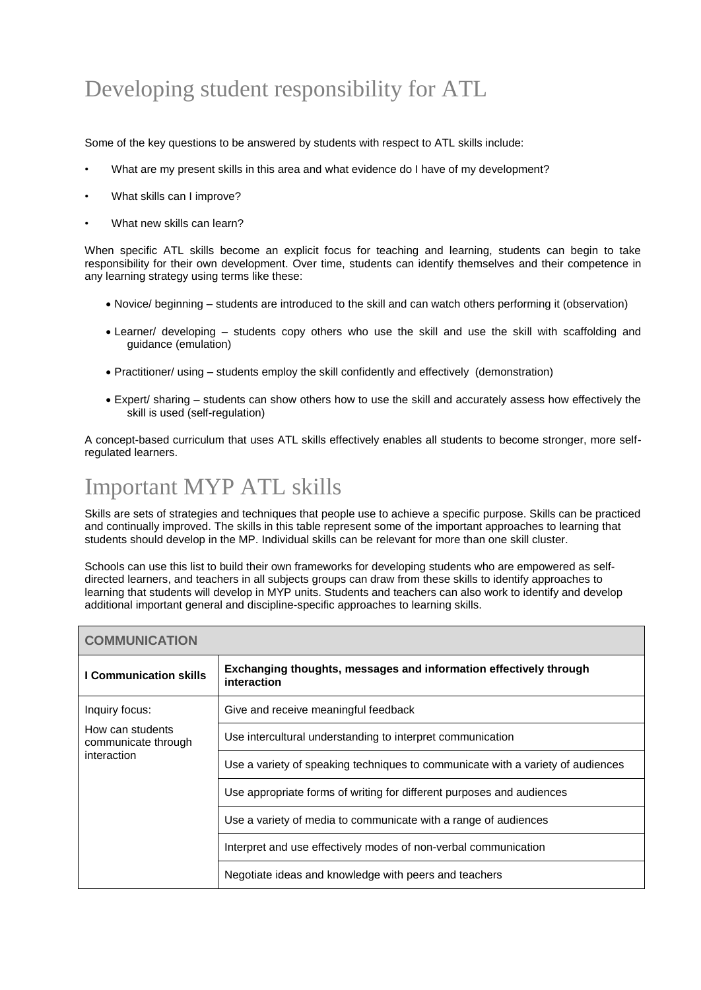#### Developing student responsibility for ATL

Some of the key questions to be answered by students with respect to ATL skills include:

- What are my present skills in this area and what evidence do I have of my development?
- What skills can I improve?
- What new skills can learn?

When specific ATL skills become an explicit focus for teaching and learning, students can begin to take responsibility for their own development. Over time, students can identify themselves and their competence in any learning strategy using terms like these:

- Novice/ beginning students are introduced to the skill and can watch others performing it (observation)
- Learner/ developing students copy others who use the skill and use the skill with scaffolding and guidance (emulation)
- Practitioner/ using students employ the skill confidently and effectively (demonstration)
- Expert/ sharing students can show others how to use the skill and accurately assess how effectively the skill is used (self-regulation)

A concept-based curriculum that uses ATL skills effectively enables all students to become stronger, more selfregulated learners.

# Important MYP ATL skills

Skills are sets of strategies and techniques that people use to achieve a specific purpose. Skills can be practiced and continually improved. The skills in this table represent some of the important approaches to learning that students should develop in the MP. Individual skills can be relevant for more than one skill cluster.

Schools can use this list to build their own frameworks for developing students who are empowered as selfdirected learners, and teachers in all subjects groups can draw from these skills to identify approaches to learning that students will develop in MYP units. Students and teachers can also work to identify and develop additional important general and discipline-specific approaches to learning skills.

| <b>COMMUNICATION</b>                                   |                                                                                  |
|--------------------------------------------------------|----------------------------------------------------------------------------------|
| <b>I Communication skills</b>                          | Exchanging thoughts, messages and information effectively through<br>interaction |
| Inquiry focus:                                         | Give and receive meaningful feedback                                             |
| How can students<br>communicate through<br>interaction | Use intercultural understanding to interpret communication                       |
|                                                        | Use a variety of speaking techniques to communicate with a variety of audiences  |
|                                                        | Use appropriate forms of writing for different purposes and audiences            |
|                                                        | Use a variety of media to communicate with a range of audiences                  |
|                                                        | Interpret and use effectively modes of non-verbal communication                  |
|                                                        | Negotiate ideas and knowledge with peers and teachers                            |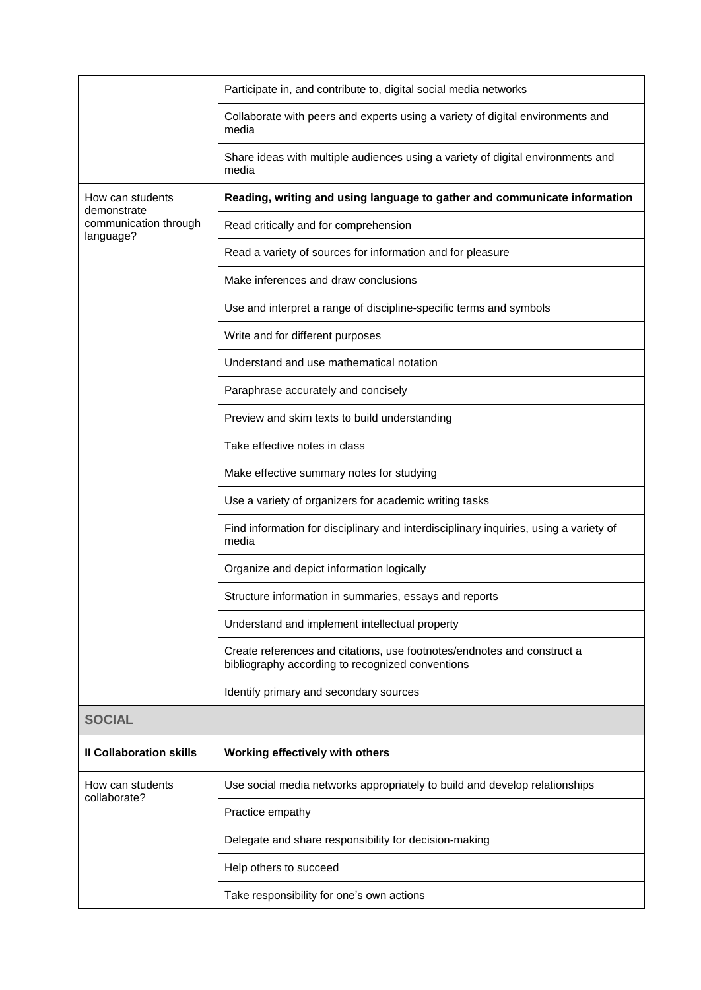|                                    | Participate in, and contribute to, digital social media networks                                                            |
|------------------------------------|-----------------------------------------------------------------------------------------------------------------------------|
|                                    | Collaborate with peers and experts using a variety of digital environments and<br>media                                     |
|                                    | Share ideas with multiple audiences using a variety of digital environments and<br>media                                    |
| How can students<br>demonstrate    | Reading, writing and using language to gather and communicate information                                                   |
| communication through<br>language? | Read critically and for comprehension                                                                                       |
|                                    | Read a variety of sources for information and for pleasure                                                                  |
|                                    | Make inferences and draw conclusions                                                                                        |
|                                    | Use and interpret a range of discipline-specific terms and symbols                                                          |
|                                    | Write and for different purposes                                                                                            |
|                                    | Understand and use mathematical notation                                                                                    |
|                                    | Paraphrase accurately and concisely                                                                                         |
|                                    | Preview and skim texts to build understanding                                                                               |
|                                    | Take effective notes in class                                                                                               |
|                                    | Make effective summary notes for studying                                                                                   |
|                                    | Use a variety of organizers for academic writing tasks                                                                      |
|                                    | Find information for disciplinary and interdisciplinary inquiries, using a variety of<br>media                              |
|                                    | Organize and depict information logically                                                                                   |
|                                    | Structure information in summaries, essays and reports                                                                      |
|                                    | Understand and implement intellectual property                                                                              |
|                                    | Create references and citations, use footnotes/endnotes and construct a<br>bibliography according to recognized conventions |
|                                    | Identify primary and secondary sources                                                                                      |
| <b>SOCIAL</b>                      |                                                                                                                             |
| <b>Il Collaboration skills</b>     | Working effectively with others                                                                                             |
| How can students<br>collaborate?   | Use social media networks appropriately to build and develop relationships                                                  |
|                                    | Practice empathy                                                                                                            |
|                                    | Delegate and share responsibility for decision-making                                                                       |
|                                    | Help others to succeed                                                                                                      |
|                                    | Take responsibility for one's own actions                                                                                   |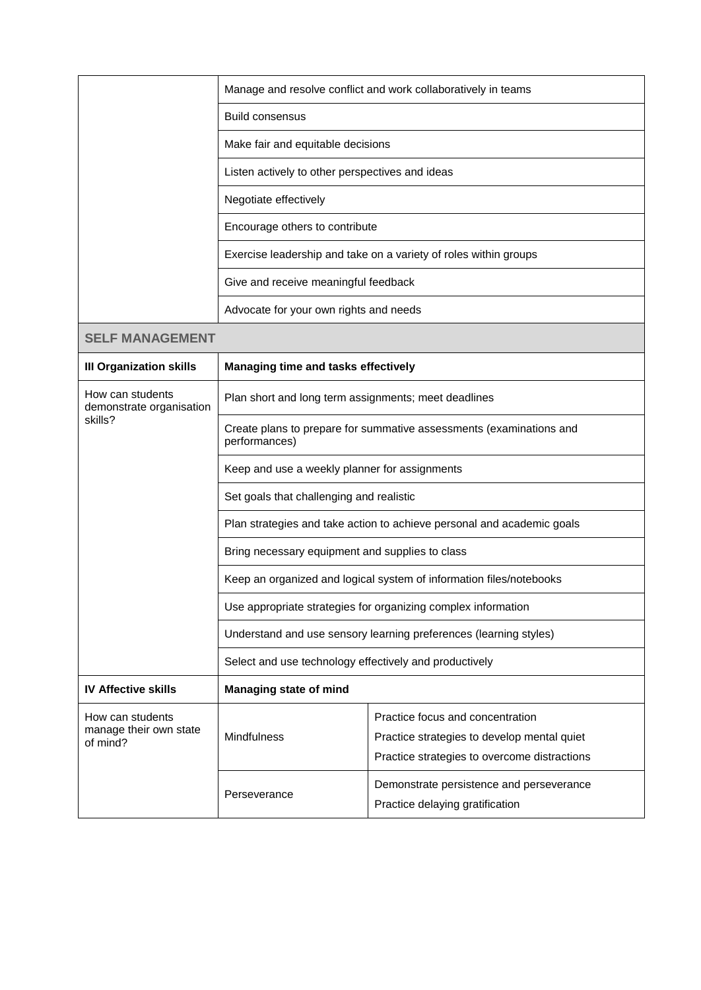|                                                         |                                                                                      | Manage and resolve conflict and work collaboratively in teams                                                                   |
|---------------------------------------------------------|--------------------------------------------------------------------------------------|---------------------------------------------------------------------------------------------------------------------------------|
|                                                         | <b>Build consensus</b>                                                               |                                                                                                                                 |
|                                                         | Make fair and equitable decisions                                                    |                                                                                                                                 |
|                                                         | Listen actively to other perspectives and ideas                                      |                                                                                                                                 |
|                                                         | Negotiate effectively                                                                |                                                                                                                                 |
|                                                         | Encourage others to contribute                                                       |                                                                                                                                 |
|                                                         | Exercise leadership and take on a variety of roles within groups                     |                                                                                                                                 |
|                                                         | Give and receive meaningful feedback                                                 |                                                                                                                                 |
|                                                         | Advocate for your own rights and needs                                               |                                                                                                                                 |
| <b>SELF MANAGEMENT</b>                                  |                                                                                      |                                                                                                                                 |
| <b>III Organization skills</b>                          | Managing time and tasks effectively                                                  |                                                                                                                                 |
| How can students<br>demonstrate organisation<br>skills? | Plan short and long term assignments; meet deadlines                                 |                                                                                                                                 |
|                                                         | Create plans to prepare for summative assessments (examinations and<br>performances) |                                                                                                                                 |
|                                                         | Keep and use a weekly planner for assignments                                        |                                                                                                                                 |
|                                                         | Set goals that challenging and realistic                                             |                                                                                                                                 |
|                                                         | Plan strategies and take action to achieve personal and academic goals               |                                                                                                                                 |
|                                                         | Bring necessary equipment and supplies to class                                      |                                                                                                                                 |
|                                                         | Keep an organized and logical system of information files/notebooks                  |                                                                                                                                 |
|                                                         | Use appropriate strategies for organizing complex information                        |                                                                                                                                 |
|                                                         | Understand and use sensory learning preferences (learning styles)                    |                                                                                                                                 |
|                                                         | Select and use technology effectively and productively                               |                                                                                                                                 |
| <b>IV Affective skills</b>                              | <b>Managing state of mind</b>                                                        |                                                                                                                                 |
| How can students<br>manage their own state<br>of mind?  | Mindfulness                                                                          | Practice focus and concentration<br>Practice strategies to develop mental quiet<br>Practice strategies to overcome distractions |
|                                                         | Perseverance                                                                         | Demonstrate persistence and perseverance<br>Practice delaying gratification                                                     |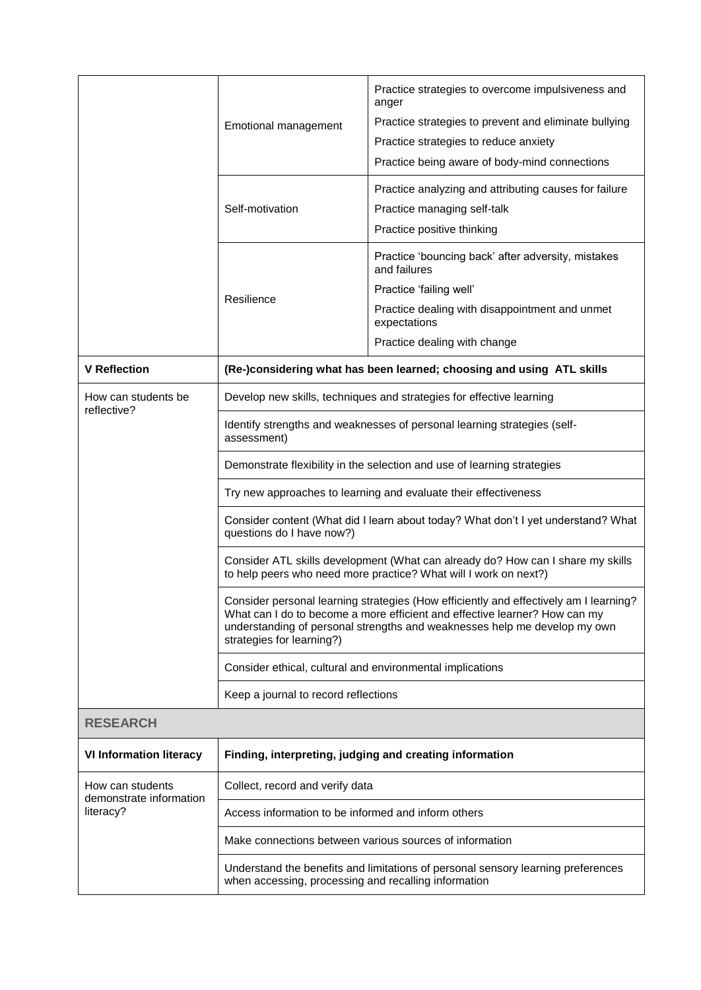|                                             |                                                                                                                                                                                                                                                                               | Practice strategies to overcome impulsiveness and<br>anger                       |
|---------------------------------------------|-------------------------------------------------------------------------------------------------------------------------------------------------------------------------------------------------------------------------------------------------------------------------------|----------------------------------------------------------------------------------|
|                                             | Emotional management                                                                                                                                                                                                                                                          | Practice strategies to prevent and eliminate bullying                            |
|                                             |                                                                                                                                                                                                                                                                               | Practice strategies to reduce anxiety                                            |
|                                             |                                                                                                                                                                                                                                                                               | Practice being aware of body-mind connections                                    |
|                                             |                                                                                                                                                                                                                                                                               | Practice analyzing and attributing causes for failure                            |
|                                             | Self-motivation                                                                                                                                                                                                                                                               | Practice managing self-talk                                                      |
|                                             |                                                                                                                                                                                                                                                                               | Practice positive thinking                                                       |
|                                             |                                                                                                                                                                                                                                                                               | Practice 'bouncing back' after adversity, mistakes<br>and failures               |
|                                             | Resilience                                                                                                                                                                                                                                                                    | Practice 'failing well'                                                          |
|                                             |                                                                                                                                                                                                                                                                               | Practice dealing with disappointment and unmet<br>expectations                   |
|                                             |                                                                                                                                                                                                                                                                               | Practice dealing with change                                                     |
| <b>V</b> Reflection                         | (Re-)considering what has been learned; choosing and using ATL skills                                                                                                                                                                                                         |                                                                                  |
| How can students be                         | Develop new skills, techniques and strategies for effective learning                                                                                                                                                                                                          |                                                                                  |
| reflective?                                 | Identify strengths and weaknesses of personal learning strategies (self-<br>assessment)                                                                                                                                                                                       |                                                                                  |
|                                             | Demonstrate flexibility in the selection and use of learning strategies                                                                                                                                                                                                       |                                                                                  |
|                                             | Try new approaches to learning and evaluate their effectiveness                                                                                                                                                                                                               |                                                                                  |
|                                             | Consider content (What did I learn about today? What don't I yet understand? What<br>questions do I have now?)                                                                                                                                                                |                                                                                  |
|                                             | Consider ATL skills development (What can already do? How can I share my skills<br>to help peers who need more practice? What will I work on next?)                                                                                                                           |                                                                                  |
|                                             | Consider personal learning strategies (How efficiently and effectively am I learning?<br>What can I do to become a more efficient and effective learner? How can my<br>understanding of personal strengths and weaknesses help me develop my own<br>strategies for learning?) |                                                                                  |
|                                             | Consider ethical, cultural and environmental implications                                                                                                                                                                                                                     |                                                                                  |
|                                             | Keep a journal to record reflections                                                                                                                                                                                                                                          |                                                                                  |
| <b>RESEARCH</b>                             |                                                                                                                                                                                                                                                                               |                                                                                  |
| <b>VI Information literacy</b>              |                                                                                                                                                                                                                                                                               | Finding, interpreting, judging and creating information                          |
| How can students<br>demonstrate information | Collect, record and verify data                                                                                                                                                                                                                                               |                                                                                  |
| literacy?                                   | Access information to be informed and inform others                                                                                                                                                                                                                           |                                                                                  |
|                                             | Make connections between various sources of information                                                                                                                                                                                                                       |                                                                                  |
|                                             | when accessing, processing and recalling information                                                                                                                                                                                                                          | Understand the benefits and limitations of personal sensory learning preferences |
|                                             |                                                                                                                                                                                                                                                                               |                                                                                  |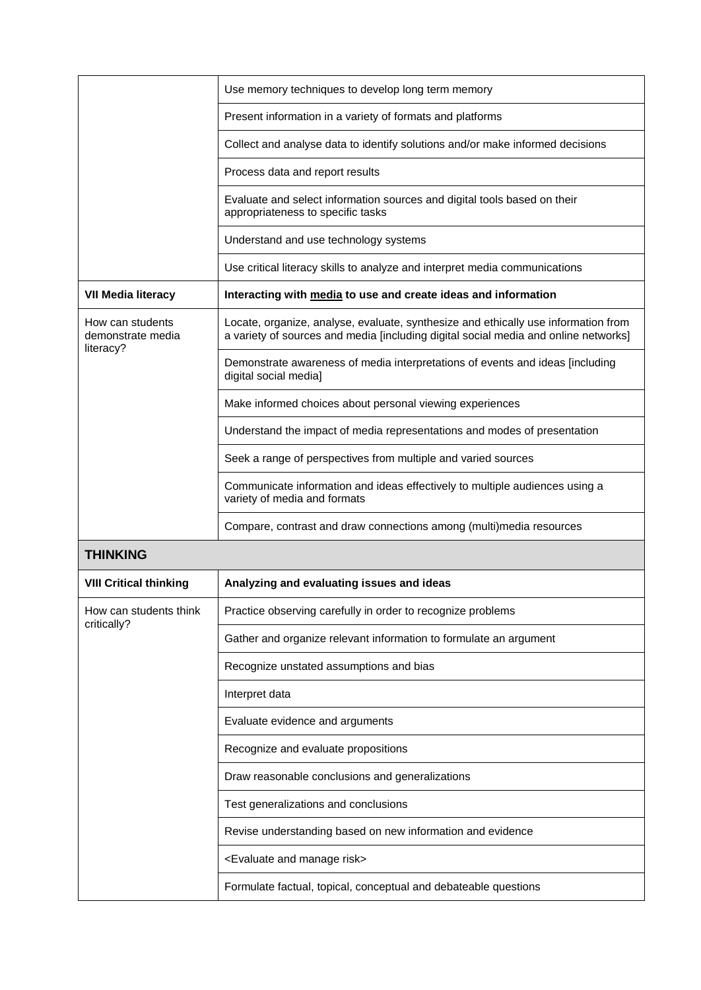|                                                    | Use memory techniques to develop long term memory                                                                                                                         |
|----------------------------------------------------|---------------------------------------------------------------------------------------------------------------------------------------------------------------------------|
|                                                    | Present information in a variety of formats and platforms                                                                                                                 |
|                                                    | Collect and analyse data to identify solutions and/or make informed decisions                                                                                             |
|                                                    | Process data and report results                                                                                                                                           |
|                                                    | Evaluate and select information sources and digital tools based on their<br>appropriateness to specific tasks                                                             |
|                                                    | Understand and use technology systems                                                                                                                                     |
|                                                    | Use critical literacy skills to analyze and interpret media communications                                                                                                |
| <b>VII Media literacy</b>                          | Interacting with media to use and create ideas and information                                                                                                            |
| How can students<br>demonstrate media<br>literacy? | Locate, organize, analyse, evaluate, synthesize and ethically use information from<br>a variety of sources and media [including digital social media and online networks] |
|                                                    | Demonstrate awareness of media interpretations of events and ideas [including<br>digital social media]                                                                    |
|                                                    | Make informed choices about personal viewing experiences                                                                                                                  |
|                                                    | Understand the impact of media representations and modes of presentation                                                                                                  |
|                                                    | Seek a range of perspectives from multiple and varied sources                                                                                                             |
|                                                    | Communicate information and ideas effectively to multiple audiences using a<br>variety of media and formats                                                               |
|                                                    | Compare, contrast and draw connections among (multi)media resources                                                                                                       |
| <b>THINKING</b>                                    |                                                                                                                                                                           |
| <b>VIII Critical thinking</b>                      | Analyzing and evaluating issues and ideas                                                                                                                                 |
| How can students think                             | Practice observing carefully in order to recognize problems                                                                                                               |
| critically?                                        | Gather and organize relevant information to formulate an argument                                                                                                         |
|                                                    | Recognize unstated assumptions and bias                                                                                                                                   |
|                                                    | Interpret data                                                                                                                                                            |
|                                                    | Evaluate evidence and arguments                                                                                                                                           |
|                                                    | Recognize and evaluate propositions                                                                                                                                       |
|                                                    | Draw reasonable conclusions and generalizations                                                                                                                           |
|                                                    | Test generalizations and conclusions                                                                                                                                      |
|                                                    | Revise understanding based on new information and evidence                                                                                                                |
|                                                    | <evaluate and="" manage="" risk=""></evaluate>                                                                                                                            |
|                                                    | Formulate factual, topical, conceptual and debateable questions                                                                                                           |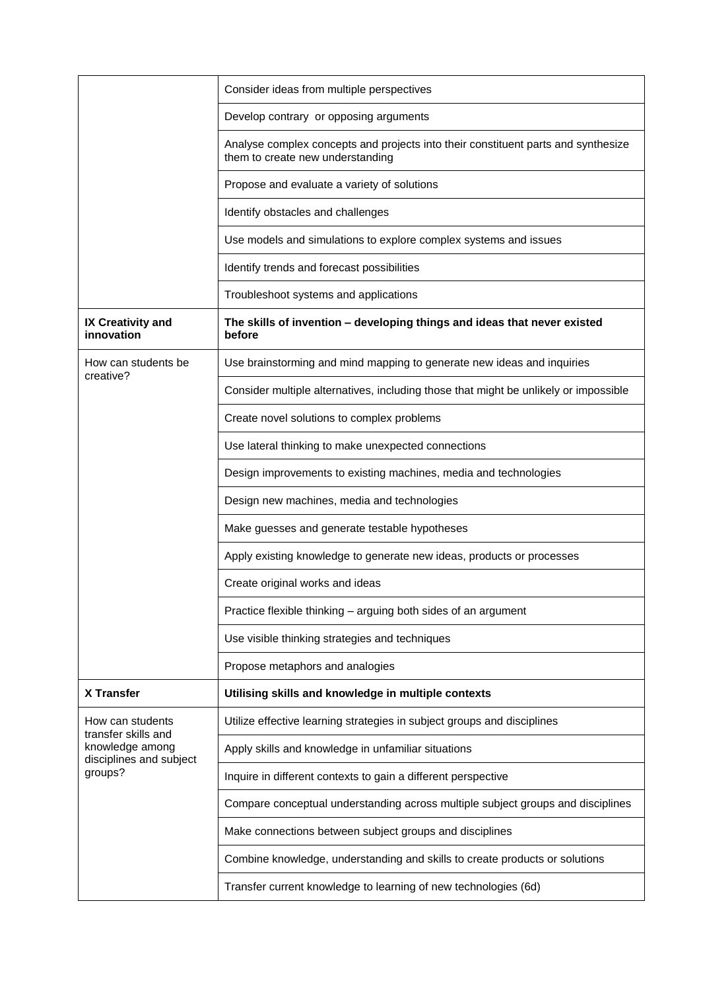|                                            | Consider ideas from multiple perspectives                                                                             |
|--------------------------------------------|-----------------------------------------------------------------------------------------------------------------------|
|                                            | Develop contrary or opposing arguments                                                                                |
|                                            | Analyse complex concepts and projects into their constituent parts and synthesize<br>them to create new understanding |
|                                            | Propose and evaluate a variety of solutions                                                                           |
|                                            | Identify obstacles and challenges                                                                                     |
|                                            | Use models and simulations to explore complex systems and issues                                                      |
|                                            | Identify trends and forecast possibilities                                                                            |
|                                            | Troubleshoot systems and applications                                                                                 |
| IX Creativity and<br>innovation            | The skills of invention - developing things and ideas that never existed<br>before                                    |
| How can students be<br>creative?           | Use brainstorming and mind mapping to generate new ideas and inquiries                                                |
|                                            | Consider multiple alternatives, including those that might be unlikely or impossible                                  |
|                                            | Create novel solutions to complex problems                                                                            |
|                                            | Use lateral thinking to make unexpected connections                                                                   |
|                                            | Design improvements to existing machines, media and technologies                                                      |
|                                            | Design new machines, media and technologies                                                                           |
|                                            | Make guesses and generate testable hypotheses                                                                         |
|                                            | Apply existing knowledge to generate new ideas, products or processes                                                 |
|                                            | Create original works and ideas                                                                                       |
|                                            | Practice flexible thinking - arguing both sides of an argument                                                        |
|                                            | Use visible thinking strategies and techniques                                                                        |
|                                            | Propose metaphors and analogies                                                                                       |
| <b>X Transfer</b>                          | Utilising skills and knowledge in multiple contexts                                                                   |
| How can students<br>transfer skills and    | Utilize effective learning strategies in subject groups and disciplines                                               |
| knowledge among<br>disciplines and subject | Apply skills and knowledge in unfamiliar situations                                                                   |
| groups?                                    | Inquire in different contexts to gain a different perspective                                                         |
|                                            | Compare conceptual understanding across multiple subject groups and disciplines                                       |
|                                            | Make connections between subject groups and disciplines                                                               |
|                                            | Combine knowledge, understanding and skills to create products or solutions                                           |
|                                            | Transfer current knowledge to learning of new technologies (6d)                                                       |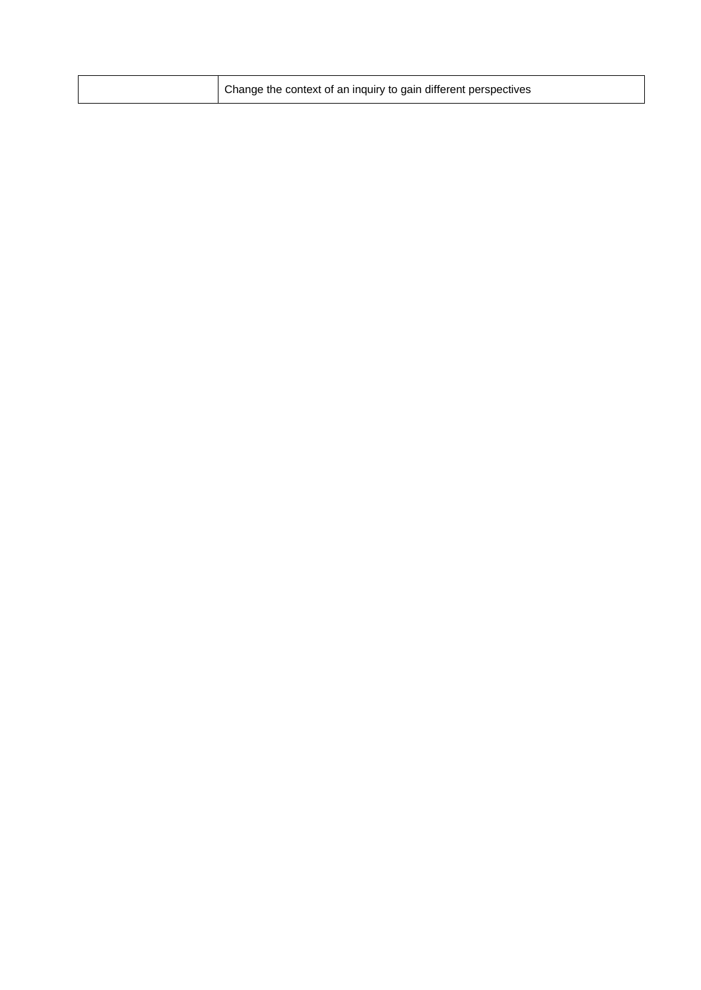|  | Change the context of an inquiry to gain different perspectives |
|--|-----------------------------------------------------------------|
|  |                                                                 |